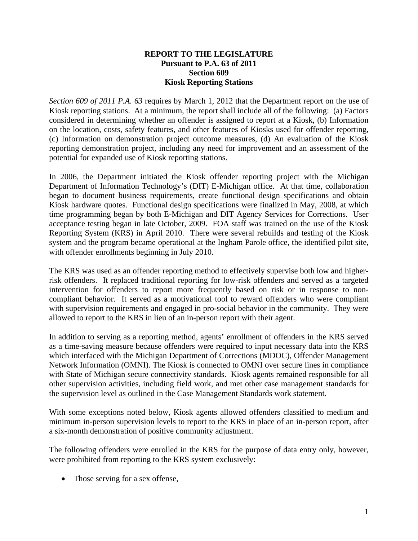## **REPORT TO THE LEGISLATURE Pursuant to P.A. 63 of 2011 Section 609 Kiosk Reporting Stations**

*Section 609 of 2011 P.A. 63* requires by March 1, 2012 that the Department report on the use of Kiosk reporting stations. At a minimum, the report shall include all of the following: (a) Factors considered in determining whether an offender is assigned to report at a Kiosk, (b) Information on the location, costs, safety features, and other features of Kiosks used for offender reporting, (c) Information on demonstration project outcome measures, (d) An evaluation of the Kiosk reporting demonstration project, including any need for improvement and an assessment of the potential for expanded use of Kiosk reporting stations.

In 2006, the Department initiated the Kiosk offender reporting project with the Michigan Department of Information Technology's (DIT) E-Michigan office. At that time, collaboration began to document business requirements, create functional design specifications and obtain Kiosk hardware quotes. Functional design specifications were finalized in May, 2008, at which time programming began by both E-Michigan and DIT Agency Services for Corrections. User acceptance testing began in late October, 2009. FOA staff was trained on the use of the Kiosk Reporting System (KRS) in April 2010. There were several rebuilds and testing of the Kiosk system and the program became operational at the Ingham Parole office, the identified pilot site, with offender enrollments beginning in July 2010.

The KRS was used as an offender reporting method to effectively supervise both low and higherrisk offenders. It replaced traditional reporting for low-risk offenders and served as a targeted intervention for offenders to report more frequently based on risk or in response to noncompliant behavior. It served as a motivational tool to reward offenders who were compliant with supervision requirements and engaged in pro-social behavior in the community. They were allowed to report to the KRS in lieu of an in-person report with their agent.

In addition to serving as a reporting method, agents' enrollment of offenders in the KRS served as a time-saving measure because offenders were required to input necessary data into the KRS which interfaced with the Michigan Department of Corrections (MDOC), Offender Management Network Information (OMNI). The Kiosk is connected to OMNI over secure lines in compliance with State of Michigan secure connectivity standards. Kiosk agents remained responsible for all other supervision activities, including field work, and met other case management standards for the supervision level as outlined in the Case Management Standards work statement.

With some exceptions noted below, Kiosk agents allowed offenders classified to medium and minimum in-person supervision levels to report to the KRS in place of an in-person report, after a six-month demonstration of positive community adjustment.

The following offenders were enrolled in the KRS for the purpose of data entry only, however, were prohibited from reporting to the KRS system exclusively:

• Those serving for a sex offense,